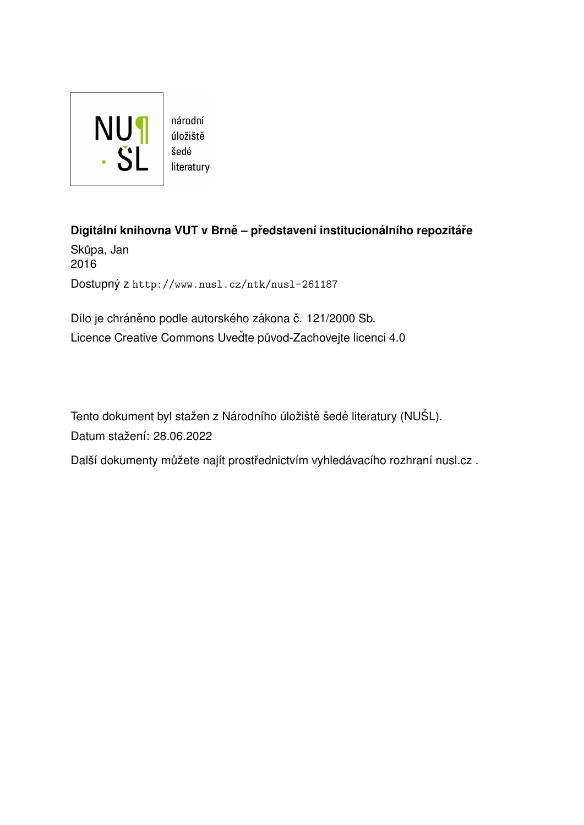

úložiště literatury

**Digitální knihovna VUT v Brně – představení institucionálního repozitáře** Skůpa, Jan 2016 Dostupný z <http://www.nusl.cz/ntk/nusl-261187>

Dílo je chráněno podle autorského zákona č. 121/2000 Sb. Licence Creative Commons Uvedte původ-Zachovejte licenci 4.0

Tento dokument byl stažen z Národního úložiště šedé literatury (NUŠL). Datum stažení: 28.06.2022

Další dokumenty můžete najít prostřednictvím vyhledávacího rozhraní [nusl.cz](http://www.nusl.cz) .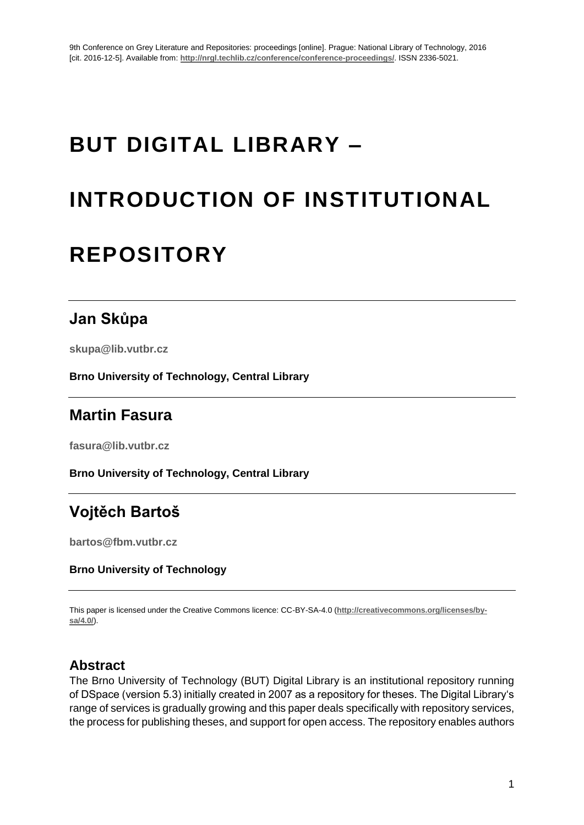# **BUT DIGITAL LIBRARY –**

# **INTRODUCTION OF INSTITUTIONAL**

## **REPOSITORY**

## **Jan Skůpa**

**skupa@lib.vutbr.cz** 

**Brno University of Technology, Central Library**

## **Martin Fasura**

**fasura@lib.vutbr.cz**

**Brno University of Technology, Central Library**

## **Vojtěch Bartoš**

**[bartos@fbm.vutbr.cz](mailto:bartos@fbm.vutbr.cz)**

#### **Brno University of Technology**

This paper is licensed under the Creative Commons licence: CC-BY-SA-4.0 (**http://creativecommons.org/licenses/bysa/4.0/**).

#### **Abstract**

The Brno University of Technology (BUT) Digital Library is an institutional repository running of DSpace (version 5.3) initially created in 2007 as a repository for theses. The Digital Library's range of services is gradually growing and this paper deals specifically with repository services, the process for publishing theses, and support for open access. The repository enables authors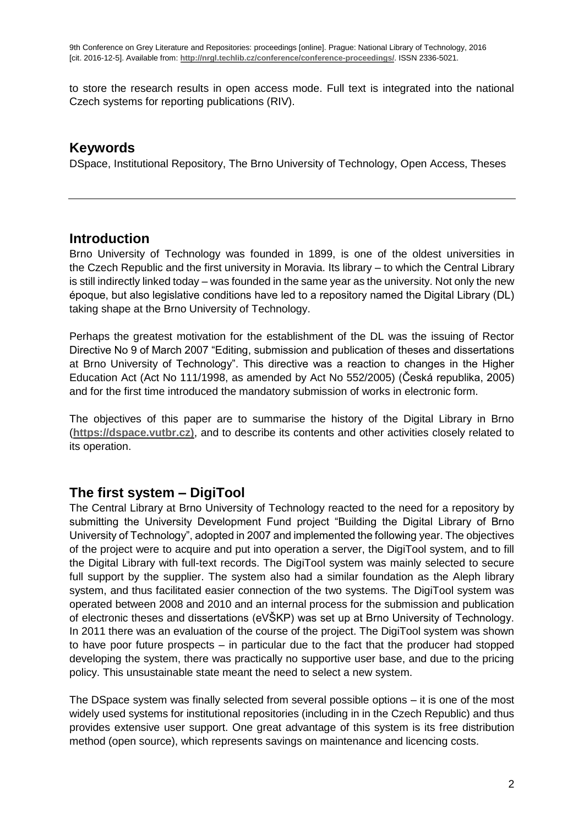to store the research results in open access mode. Full text is integrated into the national Czech systems for reporting publications (RIV).

#### **Keywords**

DSpace, Institutional Repository, The Brno University of Technology, Open Access, Theses

#### **Introduction**

Brno University of Technology was founded in 1899, is one of the oldest universities in the Czech Republic and the first university in Moravia. Its library – to which the Central Library is still indirectly linked today – was founded in the same year as the university. Not only the new époque, but also legislative conditions have led to a repository named the Digital Library (DL) taking shape at the Brno University of Technology.

Perhaps the greatest motivation for the establishment of the DL was the issuing of Rector Directive No 9 of March 2007 "Editing, submission and publication of theses and dissertations at Brno University of Technology". This directive was a reaction to changes in the Higher Education Act (Act No 111/1998, as amended by Act No 552/2005) (Česká republika, 2005) and for the first time introduced the mandatory submission of works in electronic form.

The objectives of this paper are to summarise the history of the Digital Library in Brno (**[https://dspace.vutbr.cz\)](https://dspace.vutbr.cz/)**, and to describe its contents and other activities closely related to its operation.

### **The first system – DigiTool**

The Central Library at Brno University of Technology reacted to the need for a repository by submitting the University Development Fund project "Building the Digital Library of Brno University of Technology", adopted in 2007 and implemented the following year. The objectives of the project were to acquire and put into operation a server, the DigiTool system, and to fill the Digital Library with full-text records. The DigiTool system was mainly selected to secure full support by the supplier. The system also had a similar foundation as the Aleph library system, and thus facilitated easier connection of the two systems. The DigiTool system was operated between 2008 and 2010 and an internal process for the submission and publication of electronic theses and dissertations (eVŠKP) was set up at Brno University of Technology. In 2011 there was an evaluation of the course of the project. The DigiTool system was shown to have poor future prospects – in particular due to the fact that the producer had stopped developing the system, there was practically no supportive user base, and due to the pricing policy. This unsustainable state meant the need to select a new system.

The DSpace system was finally selected from several possible options – it is one of the most widely used systems for institutional repositories (including in in the Czech Republic) and thus provides extensive user support. One great advantage of this system is its free distribution method (open source), which represents savings on maintenance and licencing costs.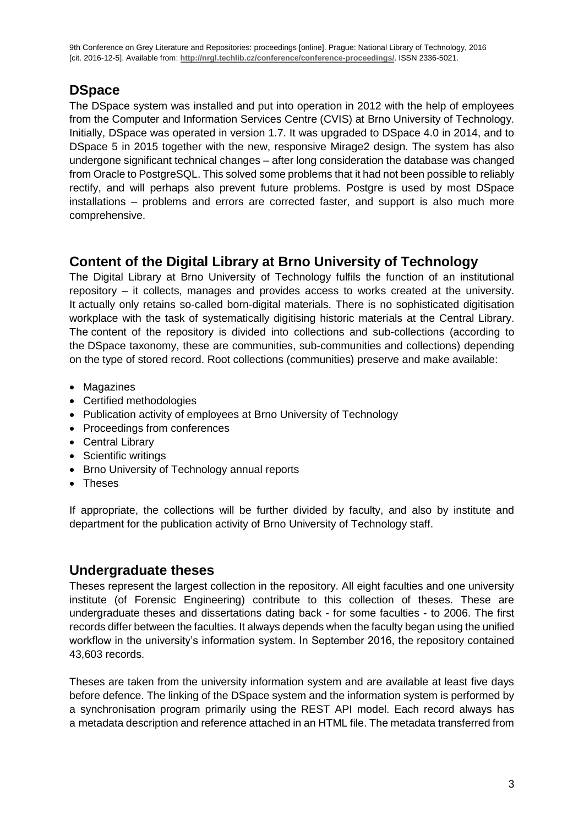### **DSpace**

The DSpace system was installed and put into operation in 2012 with the help of employees from the Computer and Information Services Centre (CVIS) at Brno University of Technology. Initially, DSpace was operated in version 1.7. It was upgraded to DSpace 4.0 in 2014, and to DSpace 5 in 2015 together with the new, responsive Mirage2 design. The system has also undergone significant technical changes – after long consideration the database was changed from Oracle to PostgreSQL. This solved some problems that it had not been possible to reliably rectify, and will perhaps also prevent future problems. Postgre is used by most DSpace installations – problems and errors are corrected faster, and support is also much more comprehensive.

### **Content of the Digital Library at Brno University of Technology**

The Digital Library at Brno University of Technology fulfils the function of an institutional repository – it collects, manages and provides access to works created at the university. It actually only retains so-called born-digital materials. There is no sophisticated digitisation workplace with the task of systematically digitising historic materials at the Central Library. The content of the repository is divided into collections and sub-collections (according to the DSpace taxonomy, these are communities, sub-communities and collections) depending on the type of stored record. Root collections (communities) preserve and make available:

- Magazines
- Certified methodologies
- Publication activity of employees at Brno University of Technology
- Proceedings from conferences
- Central Library
- Scientific writings
- Brno University of Technology annual reports
- Theses

If appropriate, the collections will be further divided by faculty, and also by institute and department for the publication activity of Brno University of Technology staff.

### **Undergraduate theses**

Theses represent the largest collection in the repository. All eight faculties and one university institute (of Forensic Engineering) contribute to this collection of theses. These are undergraduate theses and dissertations dating back - for some faculties - to 2006. The first records differ between the faculties. It always depends when the faculty began using the unified workflow in the university's information system. In September 2016, the repository contained 43,603 records.

Theses are taken from the university information system and are available at least five days before defence. The linking of the DSpace system and the information system is performed by a synchronisation program primarily using the REST API model. Each record always has a metadata description and reference attached in an HTML file. The metadata transferred from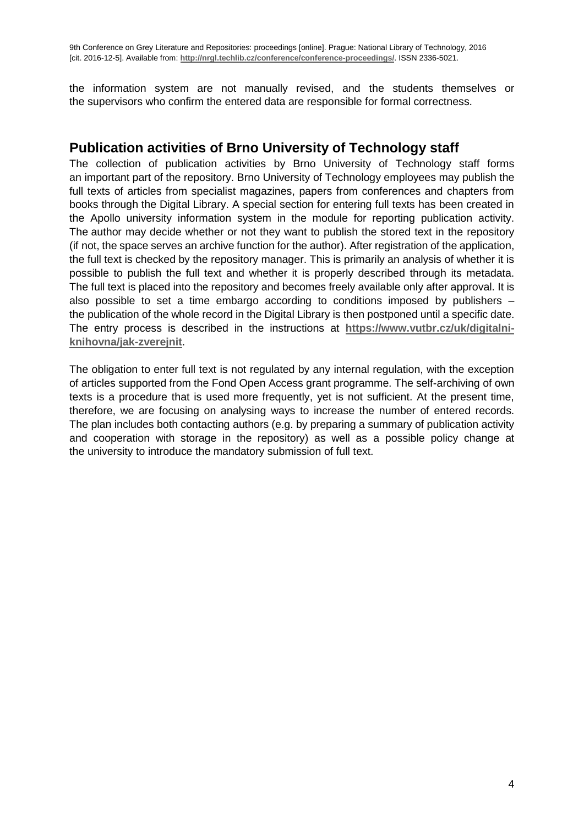the information system are not manually revised, and the students themselves or the supervisors who confirm the entered data are responsible for formal correctness.

#### **Publication activities of Brno University of Technology staff**

The collection of publication activities by Brno University of Technology staff forms an important part of the repository. Brno University of Technology employees may publish the full texts of articles from specialist magazines, papers from conferences and chapters from books through the Digital Library. A special section for entering full texts has been created in the Apollo university information system in the module for reporting publication activity. The author may decide whether or not they want to publish the stored text in the repository (if not, the space serves an archive function for the author). After registration of the application, the full text is checked by the repository manager. This is primarily an analysis of whether it is possible to publish the full text and whether it is properly described through its metadata. The full text is placed into the repository and becomes freely available only after approval. It is also possible to set a time embargo according to conditions imposed by publishers – the publication of the whole record in the Digital Library is then postponed until a specific date. The entry process is described in the instructions at **[https://www.vutbr.cz/uk/digitalni](https://www.vutbr.cz/uk/digitalni-knihovna/jak-zverejnit)[knihovna/jak-zverejnit](https://www.vutbr.cz/uk/digitalni-knihovna/jak-zverejnit)**.

The obligation to enter full text is not regulated by any internal regulation, with the exception of articles supported from the Fond Open Access grant programme. The self-archiving of own texts is a procedure that is used more frequently, yet is not sufficient. At the present time, therefore, we are focusing on analysing ways to increase the number of entered records. The plan includes both contacting authors (e.g. by preparing a summary of publication activity and cooperation with storage in the repository) as well as a possible policy change at the university to introduce the mandatory submission of full text.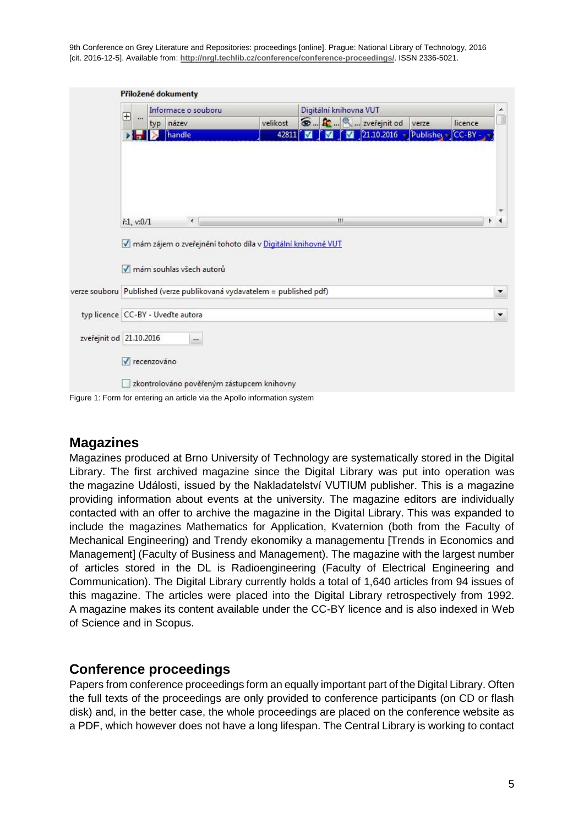9th Conference on Grey Literature and Repositories: proceedings [online]. Prague: National Library of Technology, 2016 [cit. 2016-12-5]. Available from: **http://nrgl.techlib.cz/conference/conference-proceedings/**. ISSN 2336-5021.

|                                   |                        |     | Informace o souboru                                                          |  |            | Digitální knihovna VUT |   |                           |       |                   | ▲                             |
|-----------------------------------|------------------------|-----|------------------------------------------------------------------------------|--|------------|------------------------|---|---------------------------|-------|-------------------|-------------------------------|
|                                   | $\boxplus$<br>$\cdots$ | typ | název                                                                        |  | velikost   |                        |   | <b>D R R</b> zveřejnit od | verze | licence           |                               |
|                                   | <b>No</b>              |     | handle                                                                       |  | 42811<br>М | М                      | M | 21.10.2016                |       | Publisher CC-BY - |                               |
|                                   |                        |     |                                                                              |  |            |                        |   |                           |       |                   |                               |
|                                   |                        |     |                                                                              |  |            |                        |   |                           |       |                   |                               |
|                                   |                        |     |                                                                              |  |            |                        |   |                           |       |                   |                               |
|                                   |                        |     |                                                                              |  |            |                        |   |                           |       |                   |                               |
|                                   |                        |     |                                                                              |  |            |                        |   |                           |       |                   |                               |
|                                   |                        |     |                                                                              |  |            |                        |   |                           |       |                   |                               |
|                                   | ř:1, v:0/1             |     |                                                                              |  |            |                        |   |                           |       |                   |                               |
|                                   |                        |     | $\rightarrow$<br>mám zájem o zveřejnění tohoto díla v Digitální knihovně VUT |  |            | Щ.                     |   |                           |       |                   |                               |
|                                   | M                      |     | mám souhlas všech autorů                                                     |  |            |                        |   |                           |       |                   |                               |
|                                   |                        |     | verze souboru Published (verze publikovaná vydavatelem = published pdf)      |  |            |                        |   |                           |       |                   |                               |
| typ licence CC-BY - Uvedte autora |                        |     |                                                                              |  |            |                        |   |                           |       |                   | T<br>$\overline{\phantom{a}}$ |
| zveřejnit od 21.10.2016           |                        |     |                                                                              |  |            |                        |   |                           |       |                   |                               |
|                                   | √ recenzováno          |     |                                                                              |  |            |                        |   |                           |       |                   |                               |

#### **Magazines**

Magazines produced at Brno University of Technology are systematically stored in the Digital Library. The first archived magazine since the Digital Library was put into operation was the magazine Události, issued by the Nakladatelství VUTIUM publisher. This is a magazine providing information about events at the university. The magazine editors are individually contacted with an offer to archive the magazine in the Digital Library. This was expanded to include the magazines Mathematics for Application, Kvaternion (both from the Faculty of Mechanical Engineering) and Trendy ekonomiky a managementu [Trends in Economics and Management] (Faculty of Business and Management). The magazine with the largest number of articles stored in the DL is Radioengineering (Faculty of Electrical Engineering and Communication). The Digital Library currently holds a total of 1,640 articles from 94 issues of this magazine. The articles were placed into the Digital Library retrospectively from 1992. A magazine makes its content available under the CC-BY licence and is also indexed in Web of Science and in Scopus.

#### **Conference proceedings**

Papers from conference proceedings form an equally important part of the Digital Library. Often the full texts of the proceedings are only provided to conference participants (on CD or flash disk) and, in the better case, the whole proceedings are placed on the conference website as a PDF, which however does not have a long lifespan. The Central Library is working to contact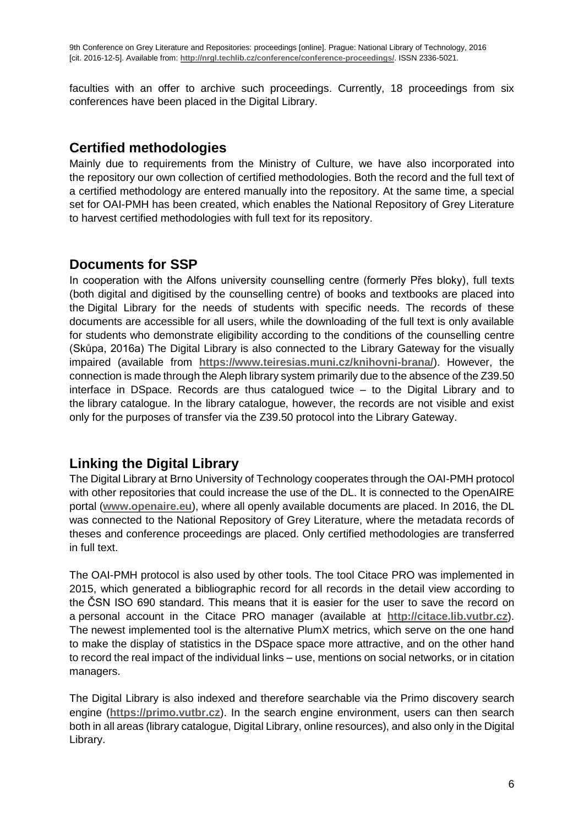faculties with an offer to archive such proceedings. Currently, 18 proceedings from six conferences have been placed in the Digital Library.

#### **Certified methodologies**

Mainly due to requirements from the Ministry of Culture, we have also incorporated into the repository our own collection of certified methodologies. Both the record and the full text of a certified methodology are entered manually into the repository. At the same time, a special set for OAI-PMH has been created, which enables the National Repository of Grey Literature to harvest certified methodologies with full text for its repository.

### **Documents for SSP**

In cooperation with the Alfons university counselling centre (formerly Přes bloky), full texts (both digital and digitised by the counselling centre) of books and textbooks are placed into the Digital Library for the needs of students with specific needs. The records of these documents are accessible for all users, while the downloading of the full text is only available for students who demonstrate eligibility according to the conditions of the counselling centre (Skůpa, 2016a) The Digital Library is also connected to the Library Gateway for the visually impaired (available from **<https://www.teiresias.muni.cz/knihovni-brana/>**). However, the connection is made through the Aleph library system primarily due to the absence of the Z39.50 interface in DSpace. Records are thus catalogued twice – to the Digital Library and to the library catalogue. In the library catalogue, however, the records are not visible and exist only for the purposes of transfer via the Z39.50 protocol into the Library Gateway.

### **Linking the Digital Library**

The Digital Library at Brno University of Technology cooperates through the OAI-PMH protocol with other repositories that could increase the use of the DL. It is connected to the OpenAIRE portal (**[www.openaire.eu](http://www.openaire.eu/)**), where all openly available documents are placed. In 2016, the DL was connected to the National Repository of Grey Literature, where the metadata records of theses and conference proceedings are placed. Only certified methodologies are transferred in full text.

The OAI-PMH protocol is also used by other tools. The tool Citace PRO was implemented in 2015, which generated a bibliographic record for all records in the detail view according to the ČSN ISO 690 standard. This means that it is easier for the user to save the record on a personal account in the Citace PRO manager (available at **[http://citace.lib.vutbr.cz](http://citace.lib.vutbr.cz/)**). The newest implemented tool is the alternative PlumX metrics, which serve on the one hand to make the display of statistics in the DSpace space more attractive, and on the other hand to record the real impact of the individual links – use, mentions on social networks, or in citation managers.

The Digital Library is also indexed and therefore searchable via the Primo discovery search engine (**[https://primo.vutbr.cz](https://primo.vutbr.cz/)**). In the search engine environment, users can then search both in all areas (library catalogue, Digital Library, online resources), and also only in the Digital Library.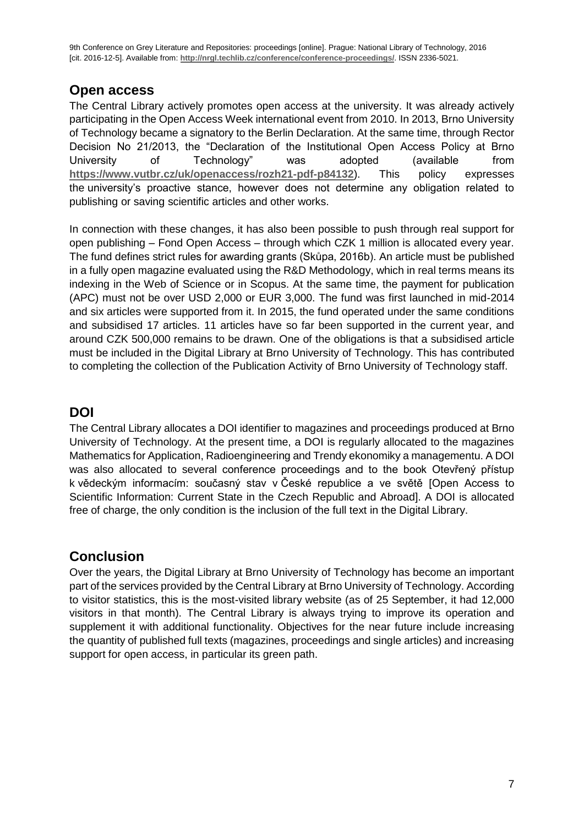9th Conference on Grey Literature and Repositories: proceedings [online]. Prague: National Library of Technology, 2016 [cit. 2016-12-5]. Available from: **http://nrgl.techlib.cz/conference/conference-proceedings/**. ISSN 2336-5021.

#### **Open access**

The Central Library actively promotes open access at the university. It was already actively participating in the Open Access Week international event from 2010. In 2013, Brno University of Technology became a signatory to the Berlin Declaration. At the same time, through Rector Decision No 21/2013, the "Declaration of the Institutional Open Access Policy at Brno University of Technology" was adopted (available from **<https://www.vutbr.cz/uk/openaccess/rozh21-pdf-p84132>**). This policy expresses the university's proactive stance, however does not determine any obligation related to publishing or saving scientific articles and other works.

In connection with these changes, it has also been possible to push through real support for open publishing – Fond Open Access – through which CZK 1 million is allocated every year. The fund defines strict rules for awarding grants (Skůpa, 2016b). An article must be published in a fully open magazine evaluated using the R&D Methodology, which in real terms means its indexing in the Web of Science or in Scopus. At the same time, the payment for publication (APC) must not be over USD 2,000 or EUR 3,000. The fund was first launched in mid-2014 and six articles were supported from it. In 2015, the fund operated under the same conditions and subsidised 17 articles. 11 articles have so far been supported in the current year, and around CZK 500,000 remains to be drawn. One of the obligations is that a subsidised article must be included in the Digital Library at Brno University of Technology. This has contributed to completing the collection of the Publication Activity of Brno University of Technology staff.

#### **DOI**

The Central Library allocates a DOI identifier to magazines and proceedings produced at Brno University of Technology. At the present time, a DOI is regularly allocated to the magazines Mathematics for Application, Radioengineering and Trendy ekonomiky a managementu. A DOI was also allocated to several conference proceedings and to the book Otevřený přístup k vědeckým informacím: současný stav v České republice a ve světě [Open Access to Scientific Information: Current State in the Czech Republic and Abroad]. A DOI is allocated free of charge, the only condition is the inclusion of the full text in the Digital Library.

### **Conclusion**

Over the years, the Digital Library at Brno University of Technology has become an important part of the services provided by the Central Library at Brno University of Technology. According to visitor statistics, this is the most-visited library website (as of 25 September, it had 12,000 visitors in that month). The Central Library is always trying to improve its operation and supplement it with additional functionality. Objectives for the near future include increasing the quantity of published full texts (magazines, proceedings and single articles) and increasing support for open access, in particular its green path.